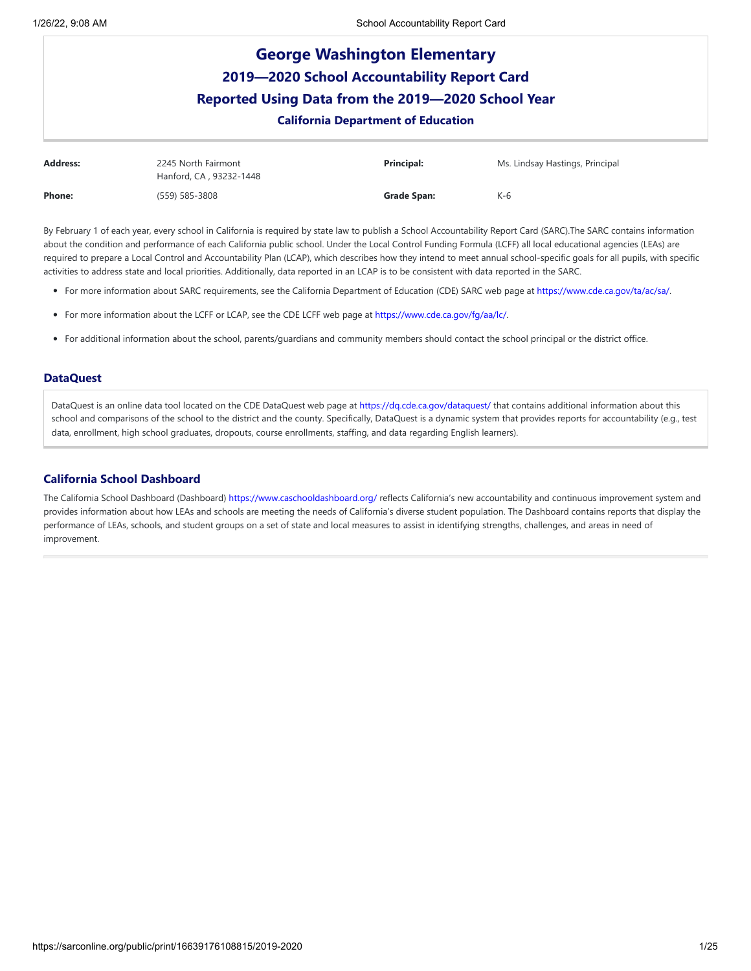# **George Washington Elementary 2019—2020 School Accountability Report Card Reported Using Data from the 2019—2020 School Year California Department of Education Address:** 2245 North Fairmont Hanford, CA , 93232-1448 **Principal:** Ms. Lindsay Hastings, Principal **Phone:** (559) 585-3808 **Grade Span:** K-6

By February 1 of each year, every school in California is required by state law to publish a School Accountability Report Card (SARC).The SARC contains information about the condition and performance of each California public school. Under the Local Control Funding Formula (LCFF) all local educational agencies (LEAs) are required to prepare a Local Control and Accountability Plan (LCAP), which describes how they intend to meet annual school-specific goals for all pupils, with specific activities to address state and local priorities. Additionally, data reported in an LCAP is to be consistent with data reported in the SARC.

- For more information about SARC requirements, see the California Department of Education (CDE) SARC web page at <https://www.cde.ca.gov/ta/ac/sa/>.
- For more information about the LCFF or LCAP, see the CDE LCFF web page at <https://www.cde.ca.gov/fg/aa/lc/>.
- For additional information about the school, parents/guardians and community members should contact the school principal or the district office.

### **DataQuest**

DataQuest is an online data tool located on the CDE DataQuest web page at <https://dq.cde.ca.gov/dataquest/> that contains additional information about this school and comparisons of the school to the district and the county. Specifically, DataQuest is a dynamic system that provides reports for accountability (e.g., test data, enrollment, high school graduates, dropouts, course enrollments, staffing, and data regarding English learners).

### **California School Dashboard**

The California School Dashboard (Dashboard) <https://www.caschooldashboard.org/> reflects California's new accountability and continuous improvement system and provides information about how LEAs and schools are meeting the needs of California's diverse student population. The Dashboard contains reports that display the performance of LEAs, schools, and student groups on a set of state and local measures to assist in identifying strengths, challenges, and areas in need of improvement.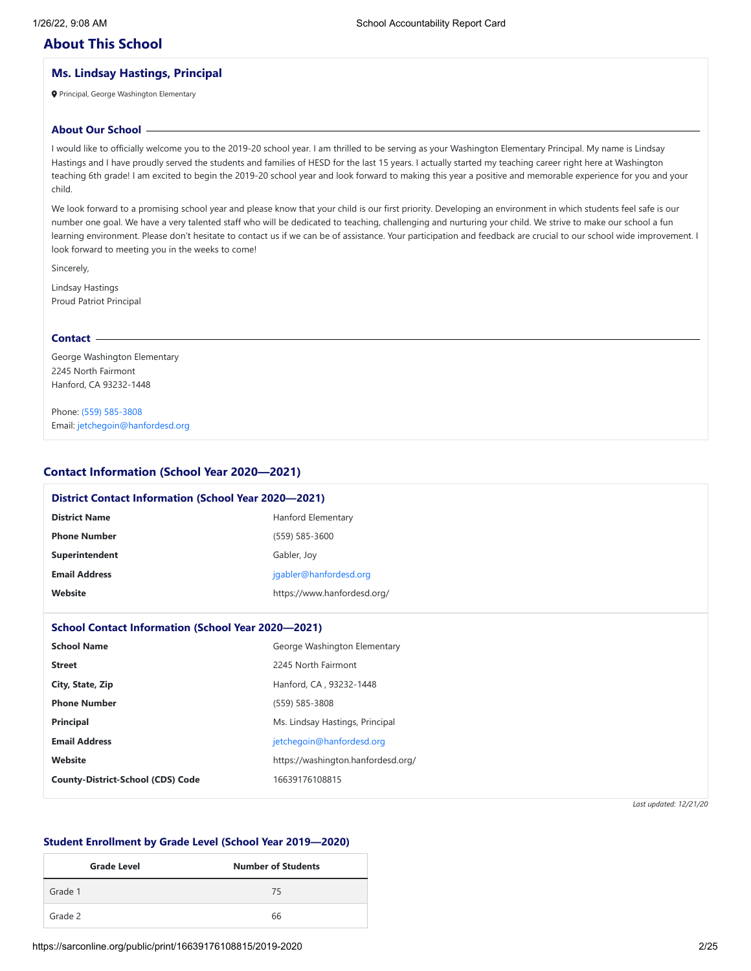## **About This School**

## **Ms. Lindsay Hastings, Principal**

Principal, George Washington Elementary

### **About Our School**

I would like to officially welcome you to the 2019-20 school year. I am thrilled to be serving as your Washington Elementary Principal. My name is Lindsay Hastings and I have proudly served the students and families of HESD for the last 15 years. I actually started my teaching career right here at Washington teaching 6th grade! I am excited to begin the 2019-20 school year and look forward to making this year a positive and memorable experience for you and your child.

We look forward to a promising school year and please know that your child is our first priority. Developing an environment in which students feel safe is our number one goal. We have a very talented staff who will be dedicated to teaching, challenging and nurturing your child. We strive to make our school a fun learning environment. Please don't hesitate to contact us if we can be of assistance. Your participation and feedback are crucial to our school wide improvement. I look forward to meeting you in the weeks to come!

Sincerely,

Lindsay Hastings Proud Patriot Principal

### **Contact**

George Washington Elementary 2245 North Fairmont Hanford, CA 93232-1448

Phone: (559) [585-3808](tel:(559) 585-3808) Email: [jetchegoin@hanfordesd.org](mailto:jetchegoin@hanfordesd.org)

### **Contact Information (School Year 2020—2021)**

| <b>District Contact Information (School Year 2020-2021)</b> |                                    |
|-------------------------------------------------------------|------------------------------------|
| <b>District Name</b>                                        | Hanford Elementary                 |
| <b>Phone Number</b>                                         | (559) 585-3600                     |
| Superintendent                                              | Gabler, Joy                        |
| <b>Email Address</b><br>jgabler@hanfordesd.org              |                                    |
| Website                                                     | https://www.hanfordesd.org/        |
|                                                             |                                    |
| <b>School Contact Information (School Year 2020-2021)</b>   |                                    |
| <b>School Name</b>                                          | George Washington Elementary       |
| <b>Street</b>                                               | 2245 North Fairmont                |
| City, State, Zip                                            | Hanford, CA, 93232-1448            |
| <b>Phone Number</b>                                         | (559) 585-3808                     |
| <b>Principal</b>                                            | Ms. Lindsay Hastings, Principal    |
| <b>Email Address</b>                                        | jetchegoin@hanfordesd.org          |
| Website                                                     | https://washington.hanfordesd.org/ |
| <b>County-District-School (CDS) Code</b>                    | 16639176108815                     |
|                                                             |                                    |

*Last updated: 12/21/20*

### **Student Enrollment by Grade Level (School Year 2019—2020)**

| <b>Grade Level</b> | <b>Number of Students</b> |
|--------------------|---------------------------|
| Grade 1            | 75                        |
| Grade 2            | 66                        |

https://sarconline.org/public/print/16639176108815/2019-2020 2/25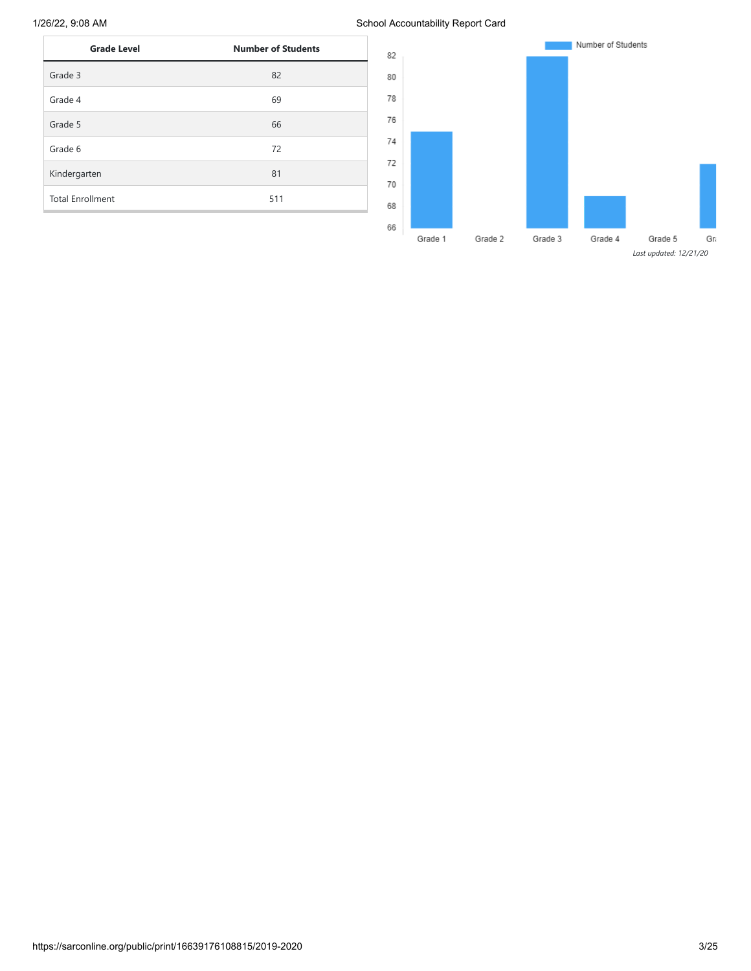1/26/22, 9:08 AM School Accountability Report Card

| <b>Grade Level</b>      | <b>Number of Students</b> |
|-------------------------|---------------------------|
| Grade 3                 | 82                        |
| Grade 4                 | 69                        |
| Grade 5                 | 66                        |
| Grade 6                 | 72                        |
| Kindergarten            | 81                        |
| <b>Total Enrollment</b> | 511                       |

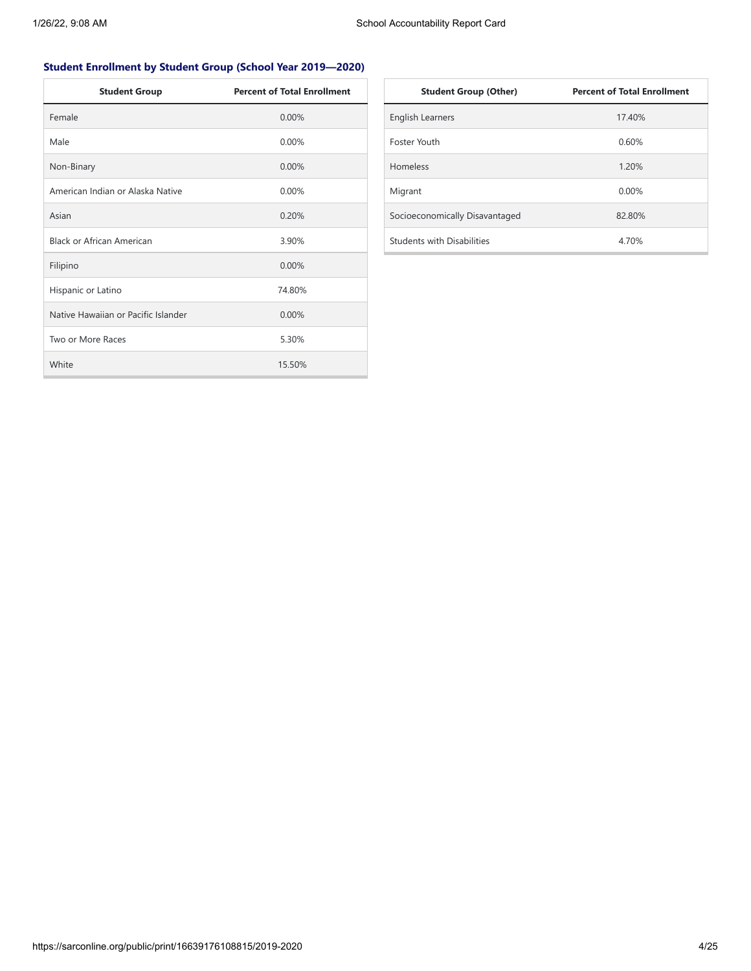## **Student Enrollment by Student Group (School Year 2019—2020)**

| <b>Student Group</b>                | <b>Percent of Total Enrollment</b> |
|-------------------------------------|------------------------------------|
| Female                              | 0.00%                              |
| Male                                | $0.00\%$                           |
| Non-Binary                          | 0.00%                              |
| American Indian or Alaska Native    | 0.00%                              |
| Asian                               | 0.20%                              |
| <b>Black or African American</b>    | 3.90%                              |
| Filipino                            | $0.00\%$                           |
| Hispanic or Latino                  | 74.80%                             |
| Native Hawaiian or Pacific Islander | 0.00%                              |
| Two or More Races                   | 5.30%                              |
| White                               | 15.50%                             |

| <b>Student Group (Other)</b>      | <b>Percent of Total Enrollment</b> |
|-----------------------------------|------------------------------------|
| <b>English Learners</b>           | 17.40%                             |
| Foster Youth                      | 0.60%                              |
| <b>Homeless</b>                   | 1.20%                              |
| Migrant                           | $0.00\%$                           |
| Socioeconomically Disavantaged    | 82.80%                             |
| <b>Students with Disabilities</b> | 4.70%                              |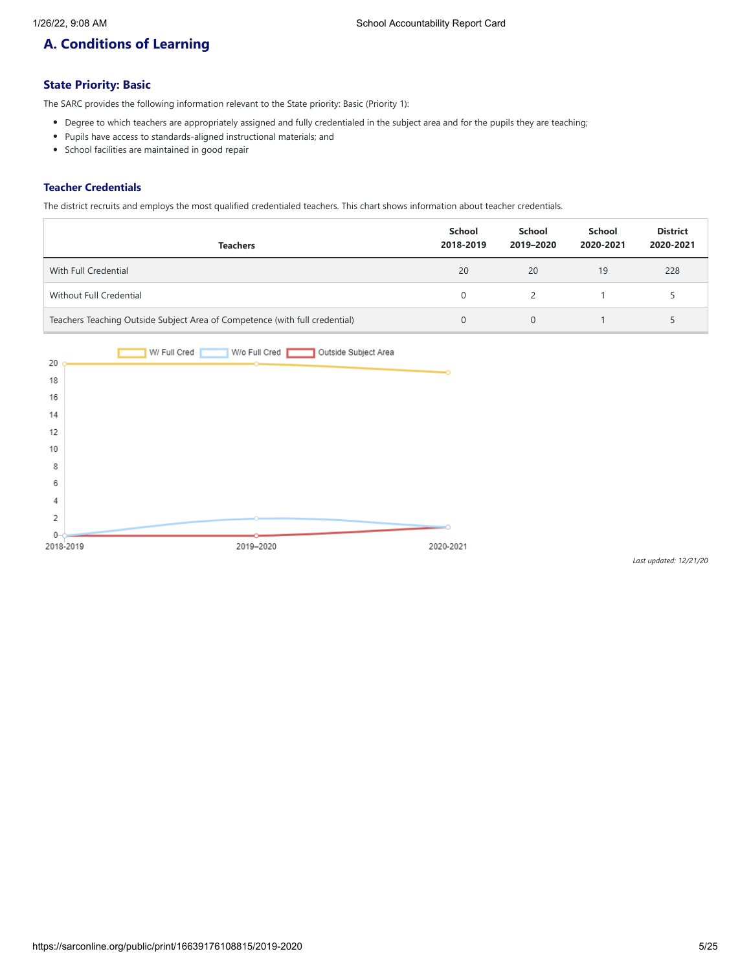# **A. Conditions of Learning**

## **State Priority: Basic**

The SARC provides the following information relevant to the State priority: Basic (Priority 1):

- Degree to which teachers are appropriately assigned and fully credentialed in the subject area and for the pupils they are teaching;
- Pupils have access to standards-aligned instructional materials; and
- School facilities are maintained in good repair

### **Teacher Credentials**

The district recruits and employs the most qualified credentialed teachers. This chart shows information about teacher credentials.

| <b>Teachers</b>                                                             | School<br>2018-2019 | School<br>2019-2020 | School<br>2020-2021 | <b>District</b><br>2020-2021 |
|-----------------------------------------------------------------------------|---------------------|---------------------|---------------------|------------------------------|
| With Full Credential                                                        | 20                  | 20                  | 19                  | 228                          |
| Without Full Credential                                                     |                     |                     |                     |                              |
| Teachers Teaching Outside Subject Area of Competence (with full credential) |                     | $\Omega$            |                     |                              |

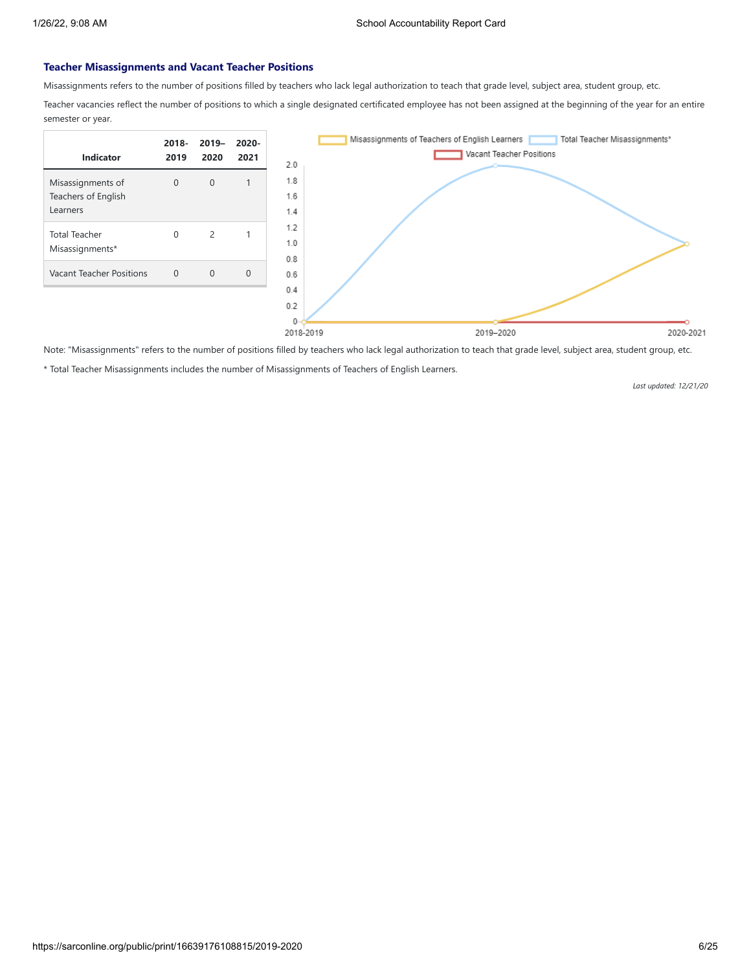### **Teacher Misassignments and Vacant Teacher Positions**

Misassignments refers to the number of positions filled by teachers who lack legal authorization to teach that grade level, subject area, student group, etc.

Teacher vacancies reflect the number of positions to which a single designated certificated employee has not been assigned at the beginning of the year for an entire semester or year.



Note: "Misassignments" refers to the number of positions filled by teachers who lack legal authorization to teach that grade level, subject area, student group, etc.

\* Total Teacher Misassignments includes the number of Misassignments of Teachers of English Learners.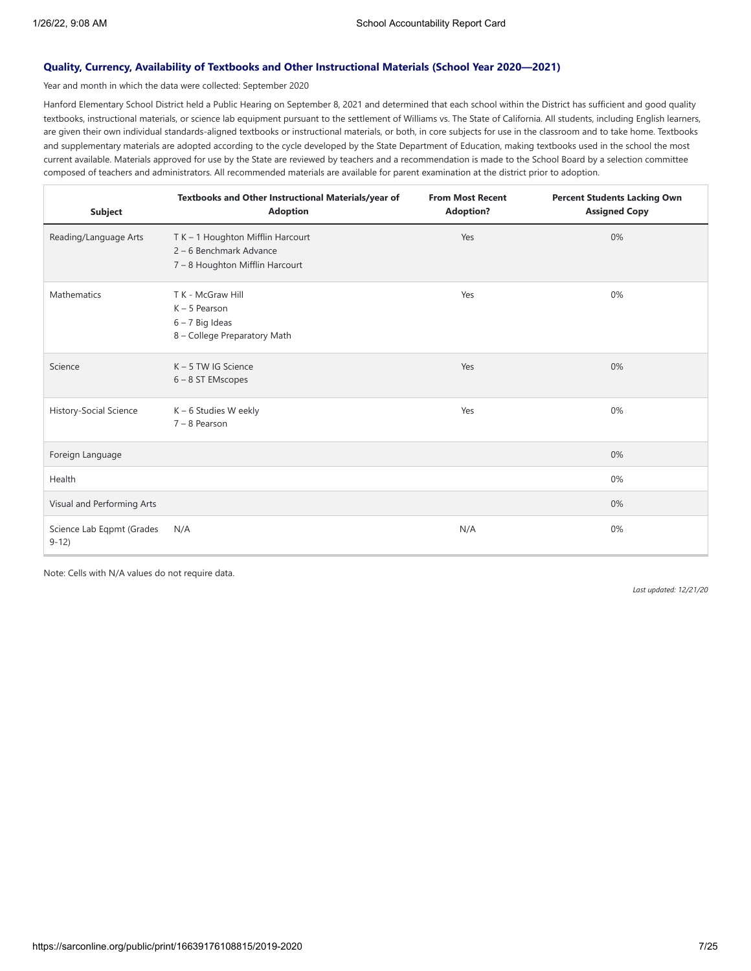### **Quality, Currency, Availability of Textbooks and Other Instructional Materials (School Year 2020—2021)**

Year and month in which the data were collected: September 2020

Hanford Elementary School District held a Public Hearing on September 8, 2021 and determined that each school within the District has sufficient and good quality textbooks, instructional materials, or science lab equipment pursuant to the settlement of Williams vs. The State of California. All students, including English learners, are given their own individual standards-aligned textbooks or instructional materials, or both, in core subjects for use in the classroom and to take home. Textbooks and supplementary materials are adopted according to the cycle developed by the State Department of Education, making textbooks used in the school the most current available. Materials approved for use by the State are reviewed by teachers and a recommendation is made to the School Board by a selection committee composed of teachers and administrators. All recommended materials are available for parent examination at the district prior to adoption.

| <b>Subject</b>                       | Textbooks and Other Instructional Materials/year of<br><b>Adoption</b>                          | <b>From Most Recent</b><br><b>Adoption?</b> | <b>Percent Students Lacking Own</b><br><b>Assigned Copy</b> |
|--------------------------------------|-------------------------------------------------------------------------------------------------|---------------------------------------------|-------------------------------------------------------------|
| Reading/Language Arts                | T K - 1 Houghton Mifflin Harcourt<br>2 - 6 Benchmark Advance<br>7 - 8 Houghton Mifflin Harcourt | Yes                                         | 0%                                                          |
| Mathematics                          | T K - McGraw Hill<br>$K - 5$ Pearson<br>$6 - 7$ Big Ideas<br>8 - College Preparatory Math       | Yes                                         | 0%                                                          |
| Science                              | $K - 5$ TW IG Science<br>6-8 ST EMscopes                                                        | Yes                                         | 0%                                                          |
| History-Social Science               | K - 6 Studies W eekly<br>$7 - 8$ Pearson                                                        | Yes                                         | 0%                                                          |
| Foreign Language                     |                                                                                                 |                                             | 0%                                                          |
| Health                               |                                                                                                 |                                             | 0%                                                          |
| Visual and Performing Arts           |                                                                                                 |                                             | 0%                                                          |
| Science Lab Eqpmt (Grades<br>$9-12)$ | N/A                                                                                             | N/A                                         | 0%                                                          |

Note: Cells with N/A values do not require data.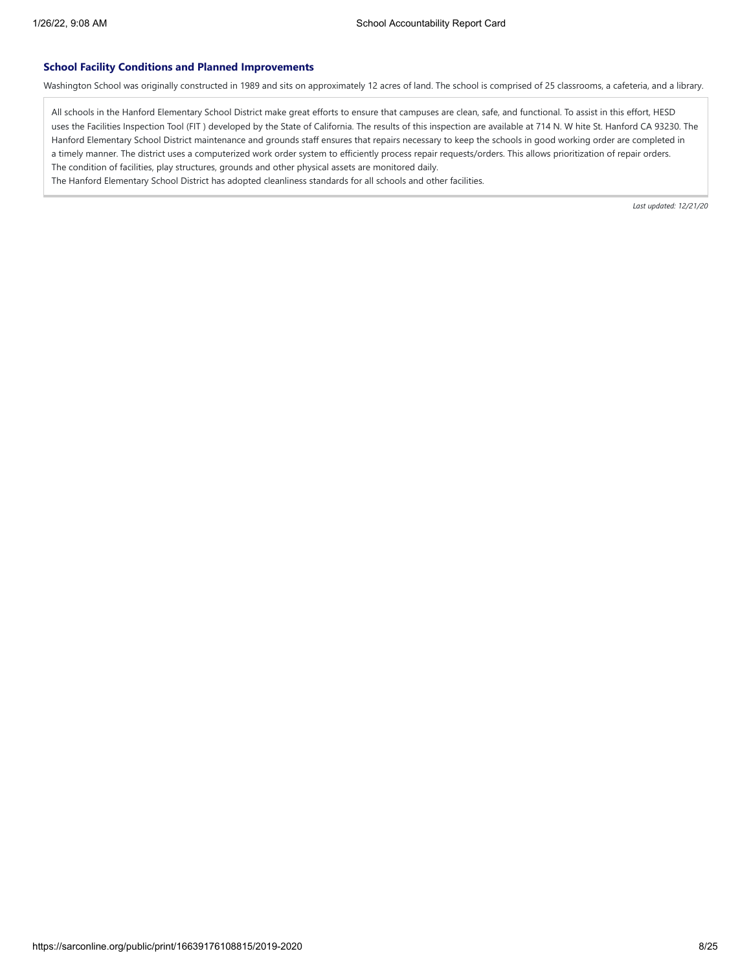### **School Facility Conditions and Planned Improvements**

Washington School was originally constructed in 1989 and sits on approximately 12 acres of land. The school is comprised of 25 classrooms, a cafeteria, and a library.

All schools in the Hanford Elementary School District make great efforts to ensure that campuses are clean, safe, and functional. To assist in this effort, HESD uses the Facilities Inspection Tool (FIT ) developed by the State of California. The results of this inspection are available at 714 N. W hite St. Hanford CA 93230. The Hanford Elementary School District maintenance and grounds staff ensures that repairs necessary to keep the schools in good working order are completed in a timely manner. The district uses a computerized work order system to efficiently process repair requests/orders. This allows prioritization of repair orders. The condition of facilities, play structures, grounds and other physical assets are monitored daily.

The Hanford Elementary School District has adopted cleanliness standards for all schools and other facilities.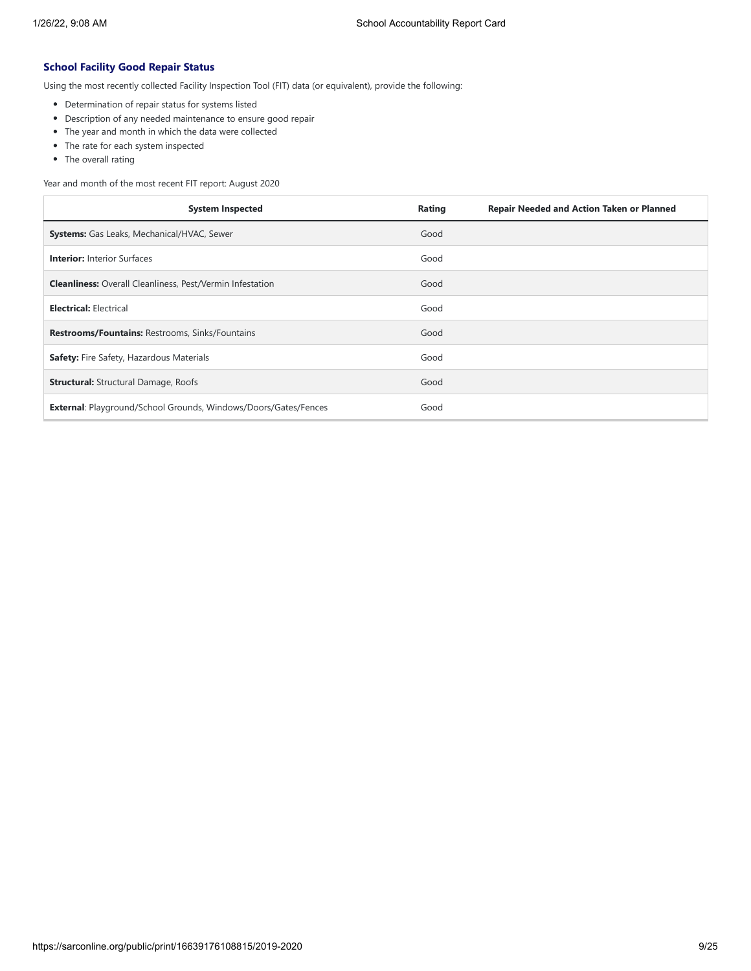### **School Facility Good Repair Status**

Using the most recently collected Facility Inspection Tool (FIT) data (or equivalent), provide the following:

- Determination of repair status for systems listed
- Description of any needed maintenance to ensure good repair
- The year and month in which the data were collected
- The rate for each system inspected
- The overall rating

Year and month of the most recent FIT report: August 2020

| <b>System Inspected</b>                                                | Rating<br><b>Repair Needed and Action Taken or Planned</b> |
|------------------------------------------------------------------------|------------------------------------------------------------|
| <b>Systems:</b> Gas Leaks, Mechanical/HVAC, Sewer                      | Good                                                       |
| <b>Interior: Interior Surfaces</b>                                     | Good                                                       |
| <b>Cleanliness:</b> Overall Cleanliness, Pest/Vermin Infestation       | Good                                                       |
| <b>Electrical: Electrical</b>                                          | Good                                                       |
| <b>Restrooms/Fountains: Restrooms, Sinks/Fountains</b>                 | Good                                                       |
| Safety: Fire Safety, Hazardous Materials                               | Good                                                       |
| <b>Structural:</b> Structural Damage, Roofs                            | Good                                                       |
| <b>External:</b> Playground/School Grounds, Windows/Doors/Gates/Fences | Good                                                       |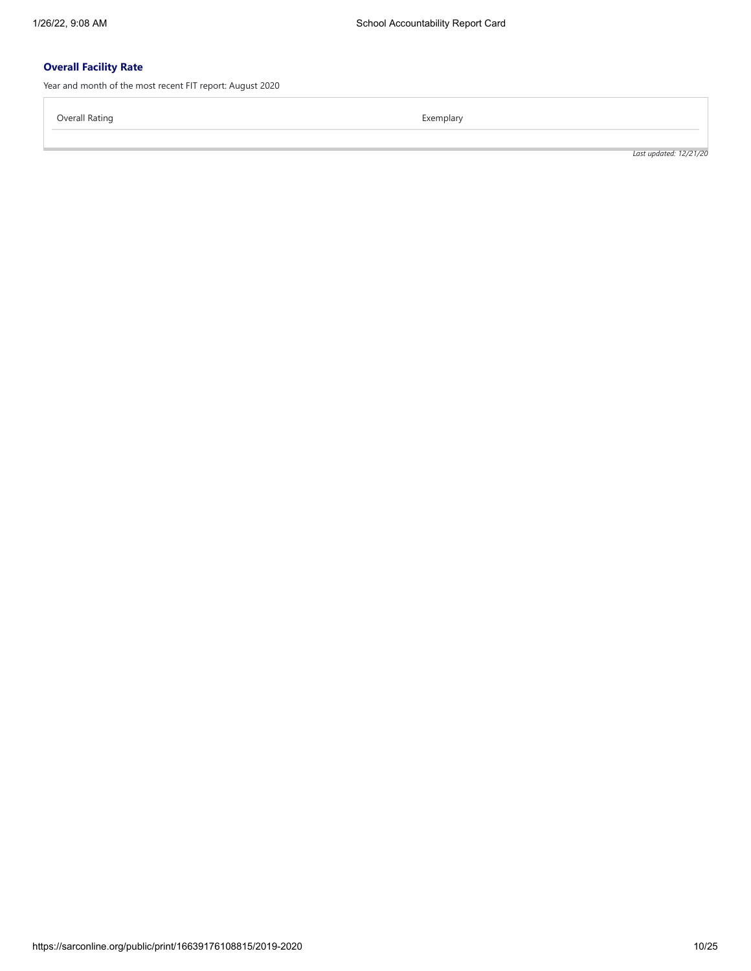## **Overall Facility Rate**

Year and month of the most recent FIT report: August 2020

Overall Rating **Exemplary** Exemplary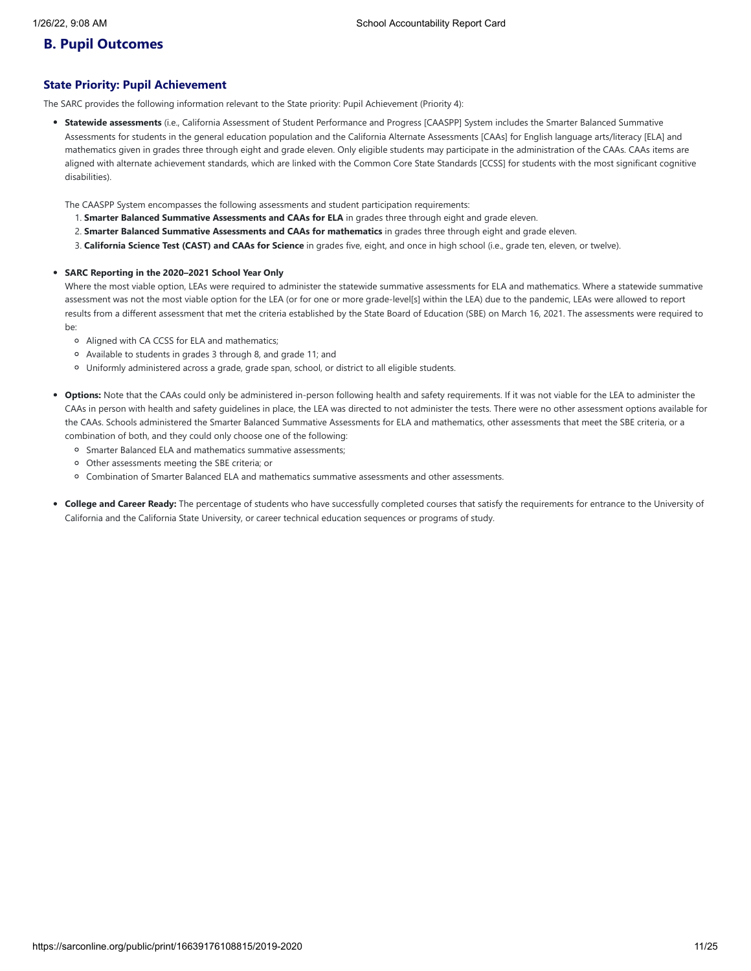## **B. Pupil Outcomes**

### **State Priority: Pupil Achievement**

The SARC provides the following information relevant to the State priority: Pupil Achievement (Priority 4):

**Statewide assessments** (i.e., California Assessment of Student Performance and Progress [CAASPP] System includes the Smarter Balanced Summative Assessments for students in the general education population and the California Alternate Assessments [CAAs] for English language arts/literacy [ELA] and mathematics given in grades three through eight and grade eleven. Only eligible students may participate in the administration of the CAAs. CAAs items are aligned with alternate achievement standards, which are linked with the Common Core State Standards [CCSS] for students with the most significant cognitive disabilities).

The CAASPP System encompasses the following assessments and student participation requirements:

- 1. **Smarter Balanced Summative Assessments and CAAs for ELA** in grades three through eight and grade eleven.
- 2. **Smarter Balanced Summative Assessments and CAAs for mathematics** in grades three through eight and grade eleven.
- 3. **California Science Test (CAST) and CAAs for Science** in grades five, eight, and once in high school (i.e., grade ten, eleven, or twelve).

### **SARC Reporting in the 2020–2021 School Year Only**

Where the most viable option, LEAs were required to administer the statewide summative assessments for ELA and mathematics. Where a statewide summative assessment was not the most viable option for the LEA (or for one or more grade-level[s] within the LEA) due to the pandemic, LEAs were allowed to report results from a different assessment that met the criteria established by the State Board of Education (SBE) on March 16, 2021. The assessments were required to be:

- Aligned with CA CCSS for ELA and mathematics;
- Available to students in grades 3 through 8, and grade 11; and
- Uniformly administered across a grade, grade span, school, or district to all eligible students.
- **Options:** Note that the CAAs could only be administered in-person following health and safety requirements. If it was not viable for the LEA to administer the CAAs in person with health and safety guidelines in place, the LEA was directed to not administer the tests. There were no other assessment options available for the CAAs. Schools administered the Smarter Balanced Summative Assessments for ELA and mathematics, other assessments that meet the SBE criteria, or a combination of both, and they could only choose one of the following:
	- Smarter Balanced ELA and mathematics summative assessments;
	- Other assessments meeting the SBE criteria; or
	- Combination of Smarter Balanced ELA and mathematics summative assessments and other assessments.
- **College and Career Ready:** The percentage of students who have successfully completed courses that satisfy the requirements for entrance to the University of California and the California State University, or career technical education sequences or programs of study.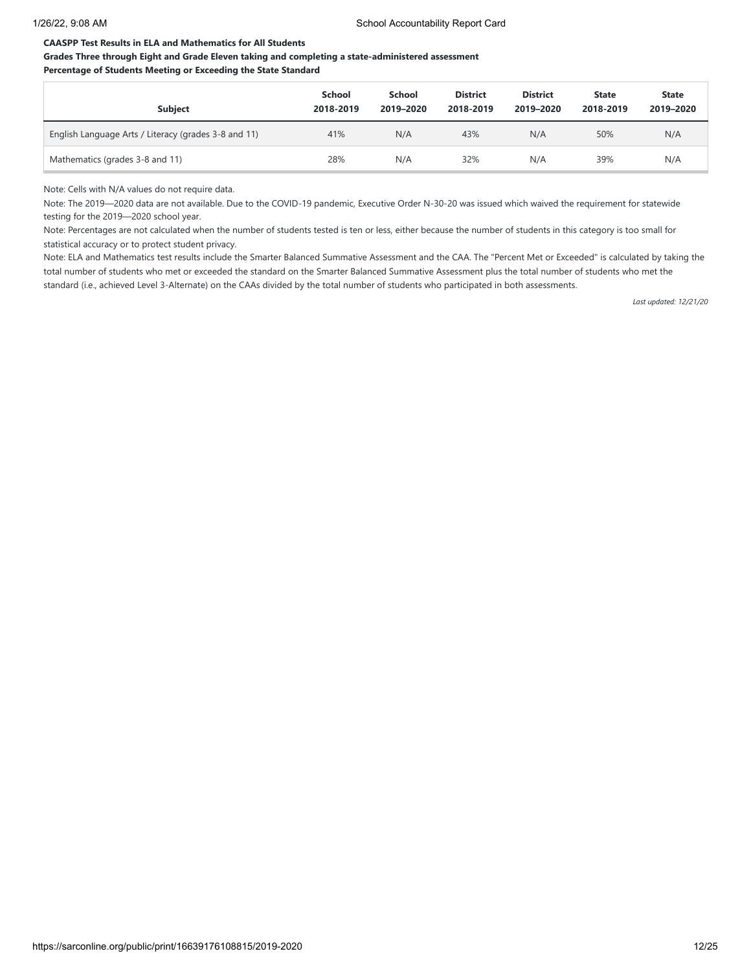### **CAASPP Test Results in ELA and Mathematics for All Students**

### **Grades Three through Eight and Grade Eleven taking and completing a state-administered assessment Percentage of Students Meeting or Exceeding the State Standard**

| <b>Subject</b>                                       | <b>School</b><br>2018-2019 | <b>School</b><br>2019-2020 | <b>District</b><br>2018-2019 | <b>District</b><br>2019-2020 | <b>State</b><br>2018-2019 | <b>State</b><br>2019-2020 |
|------------------------------------------------------|----------------------------|----------------------------|------------------------------|------------------------------|---------------------------|---------------------------|
| English Language Arts / Literacy (grades 3-8 and 11) | 41%                        | N/A                        | 43%                          | N/A                          | 50%                       | N/A                       |
| Mathematics (grades 3-8 and 11)                      | 28%                        | N/A                        | 32%                          | N/A                          | 39%                       | N/A                       |

Note: Cells with N/A values do not require data.

Note: The 2019—2020 data are not available. Due to the COVID-19 pandemic, Executive Order N-30-20 was issued which waived the requirement for statewide testing for the 2019—2020 school year.

Note: Percentages are not calculated when the number of students tested is ten or less, either because the number of students in this category is too small for statistical accuracy or to protect student privacy.

Note: ELA and Mathematics test results include the Smarter Balanced Summative Assessment and the CAA. The "Percent Met or Exceeded" is calculated by taking the total number of students who met or exceeded the standard on the Smarter Balanced Summative Assessment plus the total number of students who met the standard (i.e., achieved Level 3-Alternate) on the CAAs divided by the total number of students who participated in both assessments.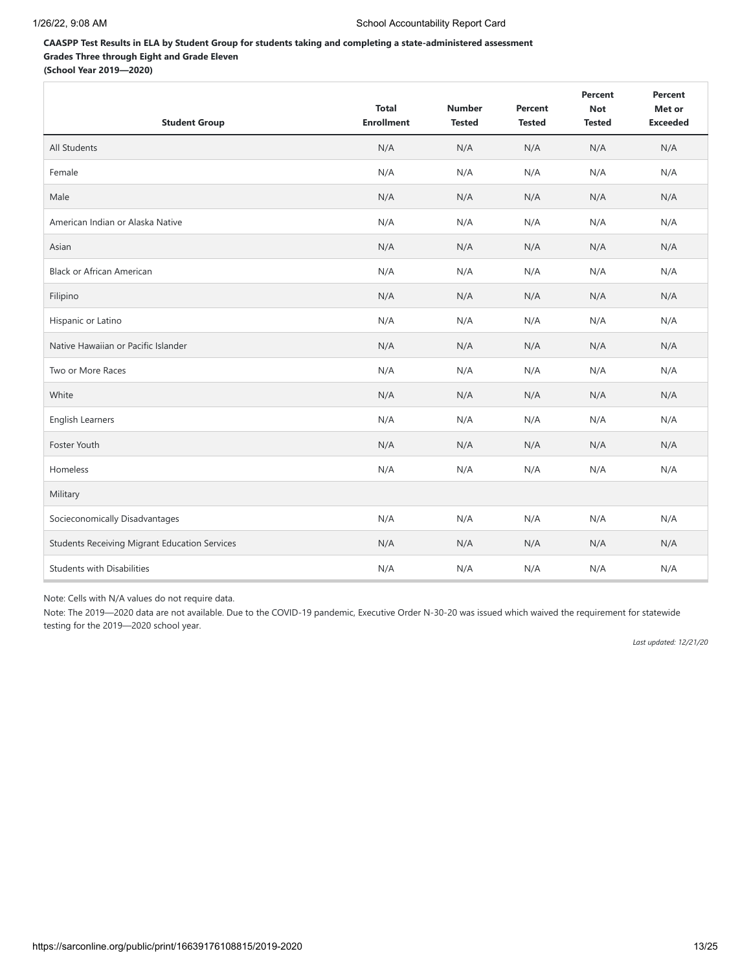### **CAASPP Test Results in ELA by Student Group for students taking and completing a state-administered assessment Grades Three through Eight and Grade Eleven (School Year 2019—2020)**

| <b>Student Group</b>                                 | <b>Total</b><br><b>Enrollment</b> | <b>Number</b><br><b>Tested</b> | Percent<br><b>Tested</b> | Percent<br><b>Not</b><br><b>Tested</b> | Percent<br>Met or<br><b>Exceeded</b> |
|------------------------------------------------------|-----------------------------------|--------------------------------|--------------------------|----------------------------------------|--------------------------------------|
| <b>All Students</b>                                  | N/A                               | N/A                            | N/A                      | N/A                                    | N/A                                  |
| Female                                               | N/A                               | N/A                            | N/A                      | N/A                                    | N/A                                  |
| Male                                                 | N/A                               | N/A                            | N/A                      | N/A                                    | N/A                                  |
| American Indian or Alaska Native                     | N/A                               | N/A                            | N/A                      | N/A                                    | N/A                                  |
| Asian                                                | N/A                               | N/A                            | N/A                      | N/A                                    | N/A                                  |
| <b>Black or African American</b>                     | N/A                               | N/A                            | N/A                      | N/A                                    | N/A                                  |
| Filipino                                             | N/A                               | N/A                            | N/A                      | N/A                                    | N/A                                  |
| Hispanic or Latino                                   | N/A                               | N/A                            | N/A                      | N/A                                    | N/A                                  |
| Native Hawaiian or Pacific Islander                  | N/A                               | N/A                            | N/A                      | N/A                                    | N/A                                  |
| Two or More Races                                    | N/A                               | N/A                            | N/A                      | N/A                                    | N/A                                  |
| White                                                | N/A                               | N/A                            | N/A                      | N/A                                    | N/A                                  |
| English Learners                                     | N/A                               | N/A                            | N/A                      | N/A                                    | N/A                                  |
| Foster Youth                                         | N/A                               | N/A                            | N/A                      | N/A                                    | N/A                                  |
| Homeless                                             | N/A                               | N/A                            | N/A                      | N/A                                    | N/A                                  |
| Military                                             |                                   |                                |                          |                                        |                                      |
| Socieconomically Disadvantages                       | N/A                               | N/A                            | N/A                      | N/A                                    | N/A                                  |
| <b>Students Receiving Migrant Education Services</b> | N/A                               | N/A                            | N/A                      | N/A                                    | N/A                                  |
| <b>Students with Disabilities</b>                    | N/A                               | N/A                            | N/A                      | N/A                                    | N/A                                  |

Note: Cells with N/A values do not require data.

Note: The 2019—2020 data are not available. Due to the COVID-19 pandemic, Executive Order N-30-20 was issued which waived the requirement for statewide testing for the 2019—2020 school year.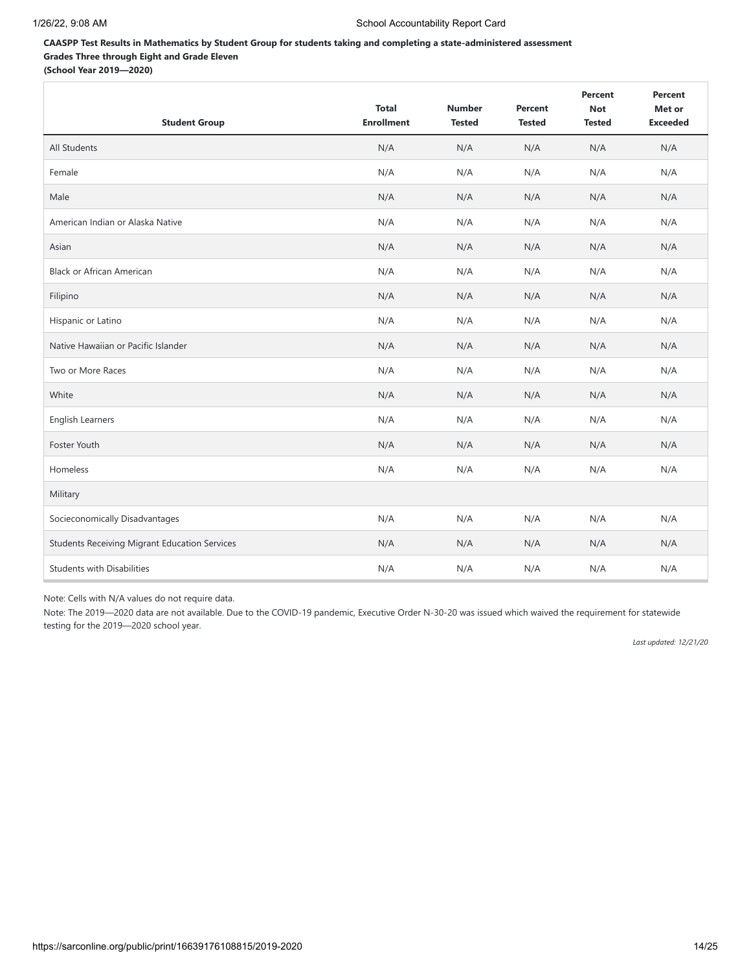## **CAASPP Test Results in Mathematics by Student Group for students taking and completing a state-administered assessment Grades Three through Eight and Grade Eleven**

**(School Year 2019—2020)**

| <b>Student Group</b>                                 | <b>Total</b><br><b>Enrollment</b> | <b>Number</b><br><b>Tested</b> | Percent<br><b>Tested</b> | Percent<br><b>Not</b><br><b>Tested</b> | Percent<br>Met or<br><b>Exceeded</b> |
|------------------------------------------------------|-----------------------------------|--------------------------------|--------------------------|----------------------------------------|--------------------------------------|
| All Students                                         | N/A                               | N/A                            | N/A                      | N/A                                    | N/A                                  |
| Female                                               | N/A                               | N/A                            | N/A                      | N/A                                    | N/A                                  |
| Male                                                 | N/A                               | N/A                            | N/A                      | N/A                                    | N/A                                  |
| American Indian or Alaska Native                     | N/A                               | N/A                            | N/A                      | N/A                                    | N/A                                  |
| Asian                                                | N/A                               | N/A                            | N/A                      | N/A                                    | N/A                                  |
| <b>Black or African American</b>                     | N/A                               | N/A                            | N/A                      | N/A                                    | N/A                                  |
| Filipino                                             | N/A                               | N/A                            | N/A                      | N/A                                    | N/A                                  |
| Hispanic or Latino                                   | N/A                               | N/A                            | N/A                      | N/A                                    | N/A                                  |
| Native Hawaiian or Pacific Islander                  | N/A                               | N/A                            | N/A                      | N/A                                    | N/A                                  |
| Two or More Races                                    | N/A                               | N/A                            | N/A                      | N/A                                    | N/A                                  |
| White                                                | N/A                               | N/A                            | N/A                      | N/A                                    | N/A                                  |
| English Learners                                     | N/A                               | N/A                            | N/A                      | N/A                                    | N/A                                  |
| Foster Youth                                         | N/A                               | N/A                            | N/A                      | N/A                                    | N/A                                  |
| Homeless                                             | N/A                               | N/A                            | N/A                      | N/A                                    | N/A                                  |
| Military                                             |                                   |                                |                          |                                        |                                      |
| Socieconomically Disadvantages                       | N/A                               | N/A                            | N/A                      | N/A                                    | N/A                                  |
| <b>Students Receiving Migrant Education Services</b> | N/A                               | N/A                            | N/A                      | N/A                                    | N/A                                  |
| <b>Students with Disabilities</b>                    | N/A                               | N/A                            | N/A                      | N/A                                    | N/A                                  |

Note: Cells with N/A values do not require data.

Note: The 2019—2020 data are not available. Due to the COVID-19 pandemic, Executive Order N-30-20 was issued which waived the requirement for statewide testing for the 2019—2020 school year.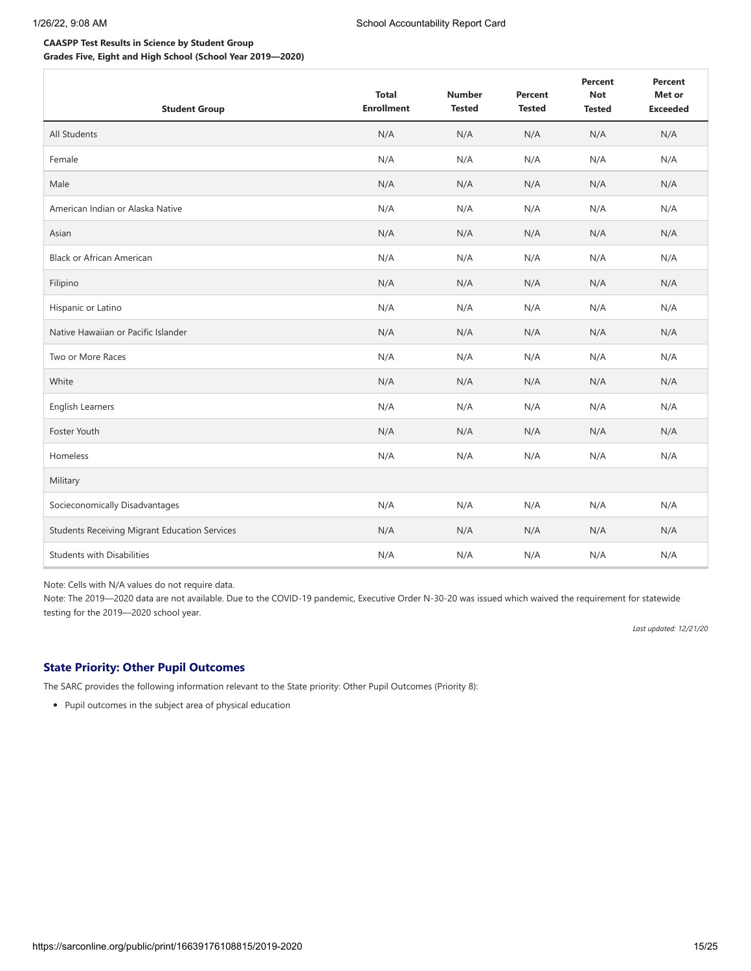## **CAASPP Test Results in Science by Student Group**

**Grades Five, Eight and High School (School Year 2019—2020)**

| <b>Student Group</b>                                 | <b>Total</b><br><b>Enrollment</b> | <b>Number</b><br><b>Tested</b> | Percent<br><b>Tested</b> | <b>Percent</b><br><b>Not</b><br><b>Tested</b> | Percent<br>Met or<br><b>Exceeded</b> |
|------------------------------------------------------|-----------------------------------|--------------------------------|--------------------------|-----------------------------------------------|--------------------------------------|
| All Students                                         | N/A                               | N/A                            | N/A                      | N/A                                           | N/A                                  |
| Female                                               | N/A                               | N/A                            | N/A                      | N/A                                           | N/A                                  |
| Male                                                 | N/A                               | N/A                            | N/A                      | N/A                                           | N/A                                  |
| American Indian or Alaska Native                     | N/A                               | N/A                            | N/A                      | N/A                                           | N/A                                  |
| Asian                                                | N/A                               | N/A                            | N/A                      | N/A                                           | N/A                                  |
| <b>Black or African American</b>                     | N/A                               | N/A                            | N/A                      | N/A                                           | N/A                                  |
| Filipino                                             | N/A                               | N/A                            | N/A                      | N/A                                           | N/A                                  |
| Hispanic or Latino                                   | N/A                               | N/A                            | N/A                      | N/A                                           | N/A                                  |
| Native Hawaiian or Pacific Islander                  | N/A                               | N/A                            | N/A                      | N/A                                           | N/A                                  |
| Two or More Races                                    | N/A                               | N/A                            | N/A                      | N/A                                           | N/A                                  |
| White                                                | N/A                               | N/A                            | N/A                      | N/A                                           | N/A                                  |
| English Learners                                     | N/A                               | N/A                            | N/A                      | N/A                                           | N/A                                  |
| Foster Youth                                         | N/A                               | N/A                            | N/A                      | N/A                                           | N/A                                  |
| Homeless                                             | N/A                               | N/A                            | N/A                      | N/A                                           | N/A                                  |
| Military                                             |                                   |                                |                          |                                               |                                      |
| Socieconomically Disadvantages                       | N/A                               | N/A                            | N/A                      | N/A                                           | N/A                                  |
| <b>Students Receiving Migrant Education Services</b> | N/A                               | N/A                            | N/A                      | N/A                                           | N/A                                  |
| <b>Students with Disabilities</b>                    | N/A                               | N/A                            | N/A                      | N/A                                           | N/A                                  |

Note: Cells with N/A values do not require data.

Note: The 2019—2020 data are not available. Due to the COVID-19 pandemic, Executive Order N-30-20 was issued which waived the requirement for statewide testing for the 2019—2020 school year.

*Last updated: 12/21/20*

## **State Priority: Other Pupil Outcomes**

The SARC provides the following information relevant to the State priority: Other Pupil Outcomes (Priority 8):

• Pupil outcomes in the subject area of physical education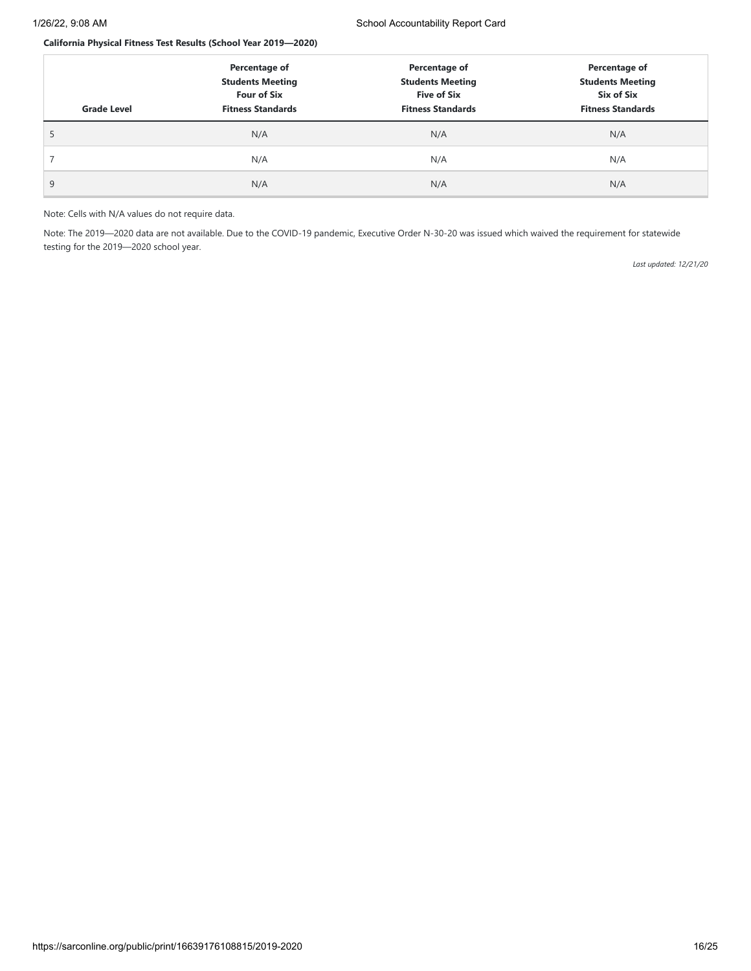### **California Physical Fitness Test Results (School Year 2019—2020)**

| <b>Grade Level</b> | Percentage of<br><b>Students Meeting</b><br><b>Four of Six</b><br><b>Fitness Standards</b> | Percentage of<br><b>Students Meeting</b><br><b>Five of Six</b><br><b>Fitness Standards</b> | Percentage of<br><b>Students Meeting</b><br>Six of Six<br><b>Fitness Standards</b> |
|--------------------|--------------------------------------------------------------------------------------------|--------------------------------------------------------------------------------------------|------------------------------------------------------------------------------------|
|                    | N/A                                                                                        | N/A                                                                                        | N/A                                                                                |
|                    | N/A                                                                                        | N/A                                                                                        | N/A                                                                                |
| 9                  | N/A                                                                                        | N/A                                                                                        | N/A                                                                                |

#### Note: Cells with N/A values do not require data.

Note: The 2019—2020 data are not available. Due to the COVID-19 pandemic, Executive Order N-30-20 was issued which waived the requirement for statewide testing for the 2019—2020 school year.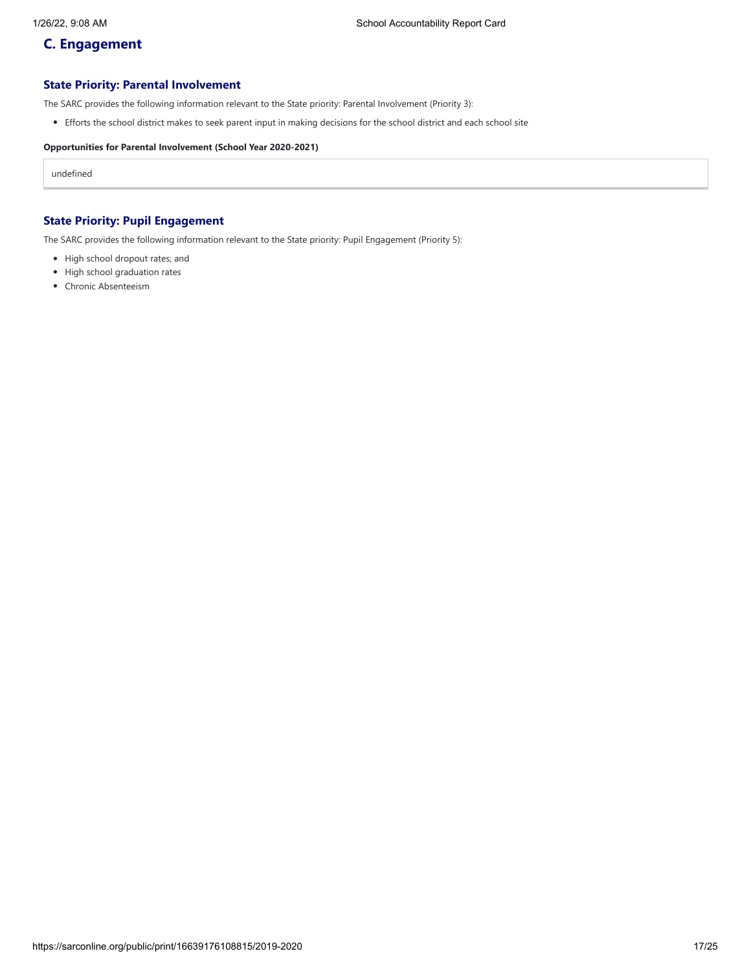## **C. Engagement**

### **State Priority: Parental Involvement**

The SARC provides the following information relevant to the State priority: Parental Involvement (Priority 3):

Efforts the school district makes to seek parent input in making decisions for the school district and each school site

### **Opportunities for Parental Involvement (School Year 2020-2021)**

undefined

## **State Priority: Pupil Engagement**

The SARC provides the following information relevant to the State priority: Pupil Engagement (Priority 5):

- High school dropout rates; and
- High school graduation rates
- Chronic Absenteeism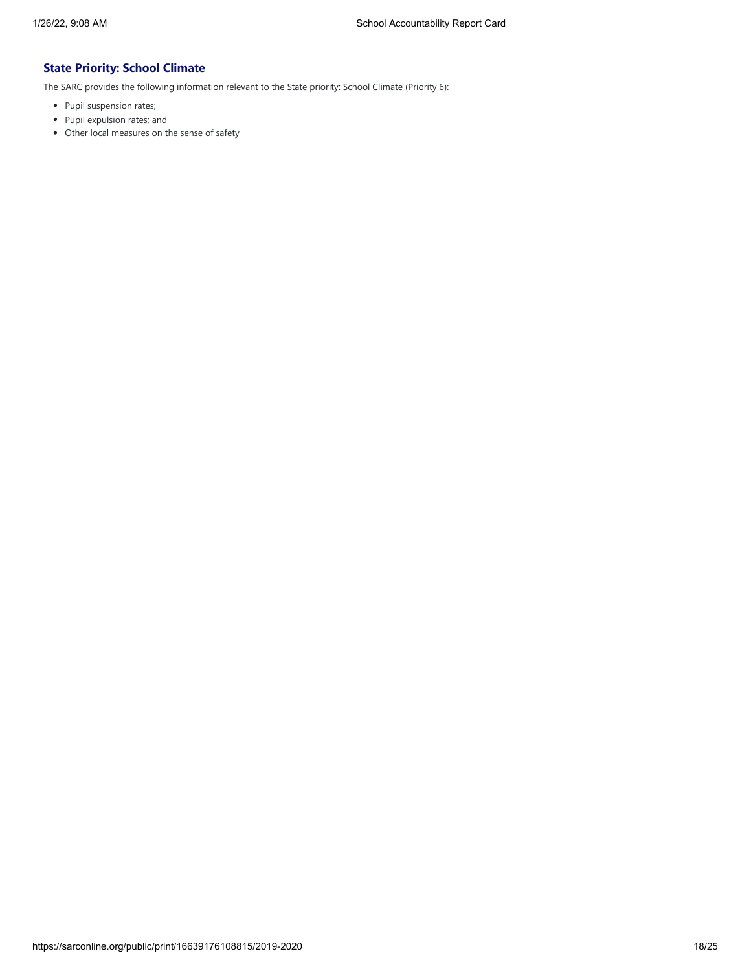## **State Priority: School Climate**

The SARC provides the following information relevant to the State priority: School Climate (Priority 6):

- Pupil suspension rates;
- Pupil expulsion rates; and
- Other local measures on the sense of safety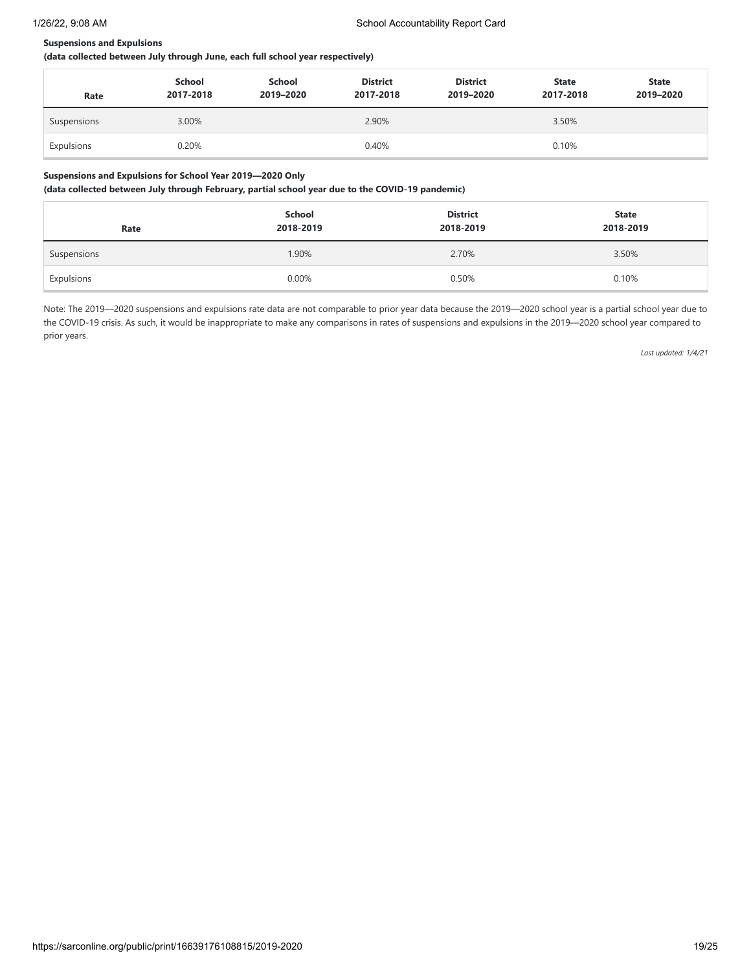### **Suspensions and Expulsions**

**(data collected between July through June, each full school year respectively)**

| Rate        | School<br>2017-2018 | School<br>2019-2020 | <b>District</b><br>2017-2018 | <b>District</b><br>2019-2020 | <b>State</b><br>2017-2018 | <b>State</b><br>2019-2020 |
|-------------|---------------------|---------------------|------------------------------|------------------------------|---------------------------|---------------------------|
| Suspensions | 3.00%               |                     | 2.90%                        |                              | 3.50%                     |                           |
| Expulsions  | 0.20%               |                     | 0.40%                        |                              | 0.10%                     |                           |

### **Suspensions and Expulsions for School Year 2019—2020 Only**

**(data collected between July through February, partial school year due to the COVID-19 pandemic)**

| Rate        | School<br>2018-2019 | <b>District</b><br>2018-2019 | <b>State</b><br>2018-2019 |
|-------------|---------------------|------------------------------|---------------------------|
| Suspensions | 1.90%               | 2.70%                        | 3.50%                     |
| Expulsions  | 0.00%               | 0.50%                        | 0.10%                     |

Note: The 2019—2020 suspensions and expulsions rate data are not comparable to prior year data because the 2019—2020 school year is a partial school year due to the COVID-19 crisis. As such, it would be inappropriate to make any comparisons in rates of suspensions and expulsions in the 2019—2020 school year compared to prior years.

*Last updated: 1/4/21*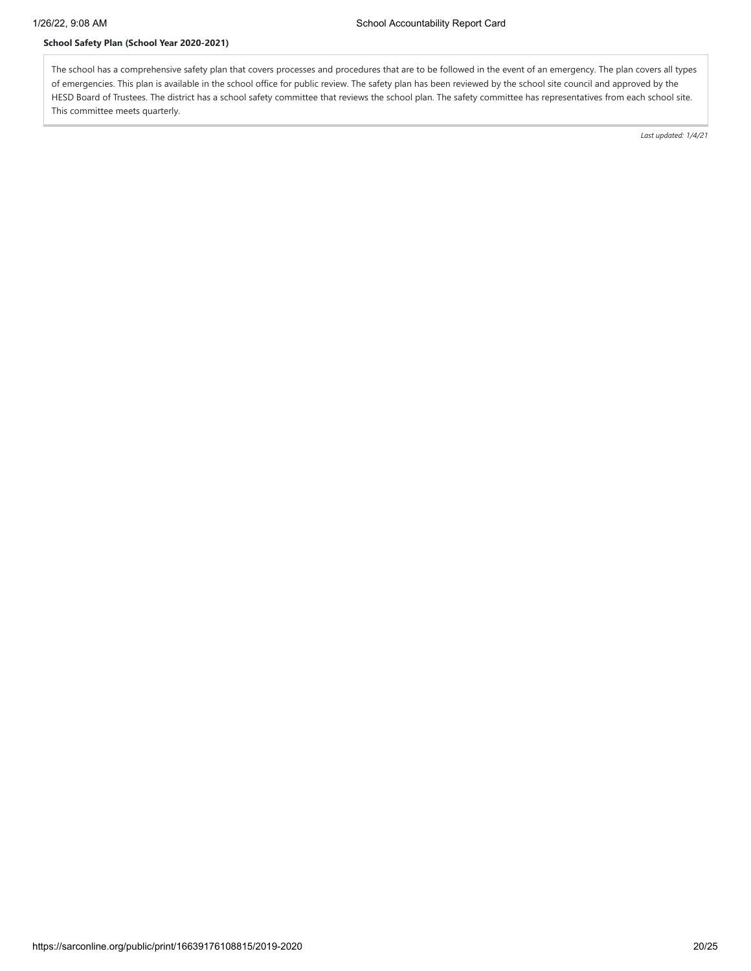## **School Safety Plan (School Year 2020-2021)**

The school has a comprehensive safety plan that covers processes and procedures that are to be followed in the event of an emergency. The plan covers all types of emergencies. This plan is available in the school office for public review. The safety plan has been reviewed by the school site council and approved by the HESD Board of Trustees. The district has a school safety committee that reviews the school plan. The safety committee has representatives from each school site. This committee meets quarterly.

*Last updated: 1/4/21*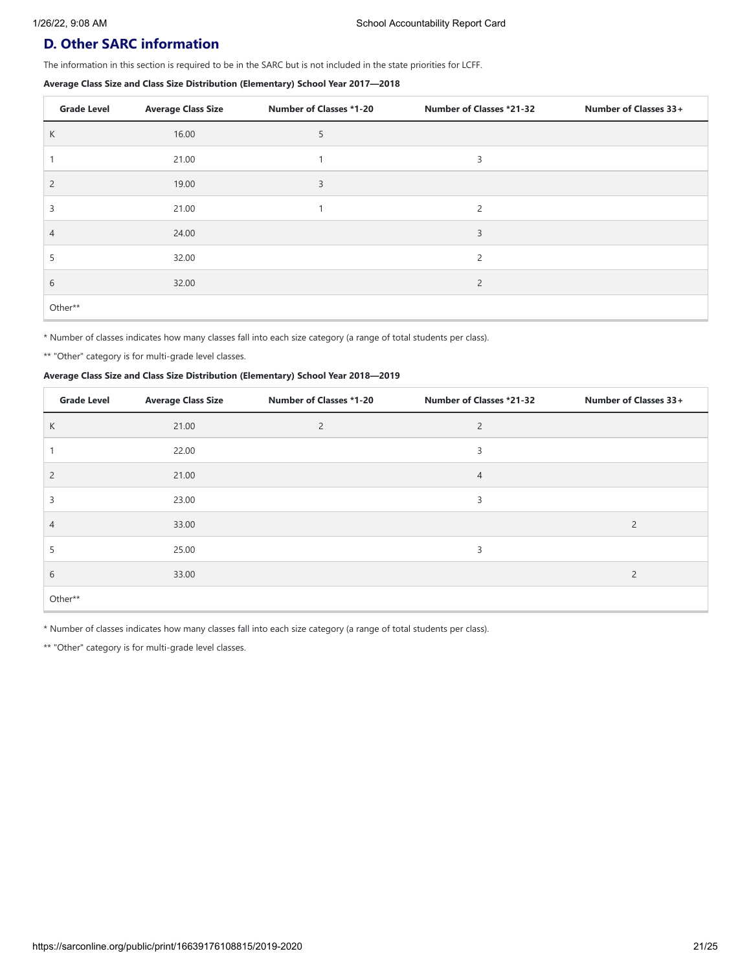## **D. Other SARC information**

The information in this section is required to be in the SARC but is not included in the state priorities for LCFF.

### **Average Class Size and Class Size Distribution (Elementary) School Year 2017—2018**

| <b>Grade Level</b> | <b>Average Class Size</b> | <b>Number of Classes *1-20</b> | <b>Number of Classes *21-32</b> | Number of Classes 33+ |
|--------------------|---------------------------|--------------------------------|---------------------------------|-----------------------|
| K                  | 16.00                     | Þ                              |                                 |                       |
|                    | 21.00                     |                                | 3                               |                       |
| $\overline{2}$     | 19.00                     | 3                              |                                 |                       |
| ∍                  | 21.00                     |                                | $\overline{c}$                  |                       |
| 4                  | 24.00                     |                                | 3                               |                       |
|                    | 32.00                     |                                | $\overline{c}$                  |                       |
| 6                  | 32.00                     |                                | 2                               |                       |
| Other**            |                           |                                |                                 |                       |

\* Number of classes indicates how many classes fall into each size category (a range of total students per class).

\*\* "Other" category is for multi-grade level classes.

### **Average Class Size and Class Size Distribution (Elementary) School Year 2018—2019**

| <b>Grade Level</b> | <b>Average Class Size</b> | <b>Number of Classes *1-20</b> | <b>Number of Classes *21-32</b> | Number of Classes 33+ |
|--------------------|---------------------------|--------------------------------|---------------------------------|-----------------------|
| K                  | 21.00                     | $\overline{c}$                 | 2                               |                       |
|                    | 22.00                     |                                | 3                               |                       |
| $\overline{2}$     | 21.00                     |                                | $\overline{4}$                  |                       |
| 3                  | 23.00                     |                                | 3                               |                       |
| $\overline{4}$     | 33.00                     |                                |                                 | 2                     |
| 5                  | 25.00                     |                                | 3                               |                       |
| 6                  | 33.00                     |                                |                                 | 2                     |
| Other**            |                           |                                |                                 |                       |

\* Number of classes indicates how many classes fall into each size category (a range of total students per class).

\*\* "Other" category is for multi-grade level classes.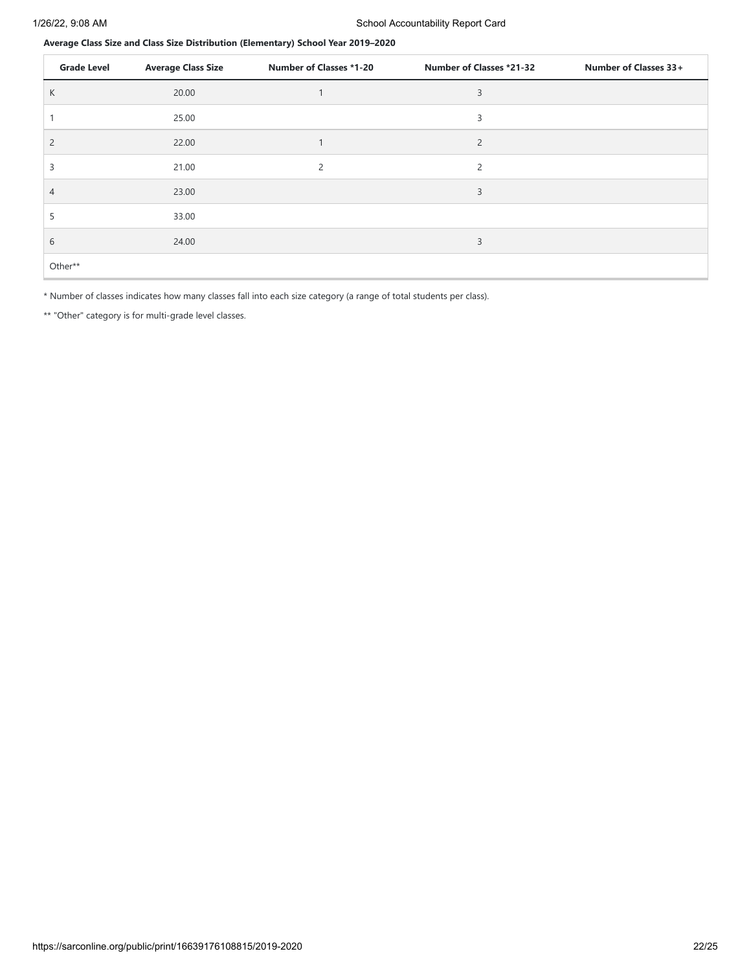**Average Class Size and Class Size Distribution (Elementary) School Year 2019–2020**

| <b>Grade Level</b> | <b>Average Class Size</b> | <b>Number of Classes *1-20</b> | <b>Number of Classes *21-32</b> | Number of Classes 33+ |
|--------------------|---------------------------|--------------------------------|---------------------------------|-----------------------|
| K                  | 20.00                     |                                | 3                               |                       |
|                    | 25.00                     |                                | 3                               |                       |
| $\overline{2}$     | 22.00                     |                                | $\overline{2}$                  |                       |
| 3                  | 21.00                     | 2                              | 2                               |                       |
| 4                  | 23.00                     |                                | 3                               |                       |
| 5                  | 33.00                     |                                |                                 |                       |
| 6                  | 24.00                     |                                | 3                               |                       |
| Other**            |                           |                                |                                 |                       |

\* Number of classes indicates how many classes fall into each size category (a range of total students per class).

\*\* "Other" category is for multi-grade level classes.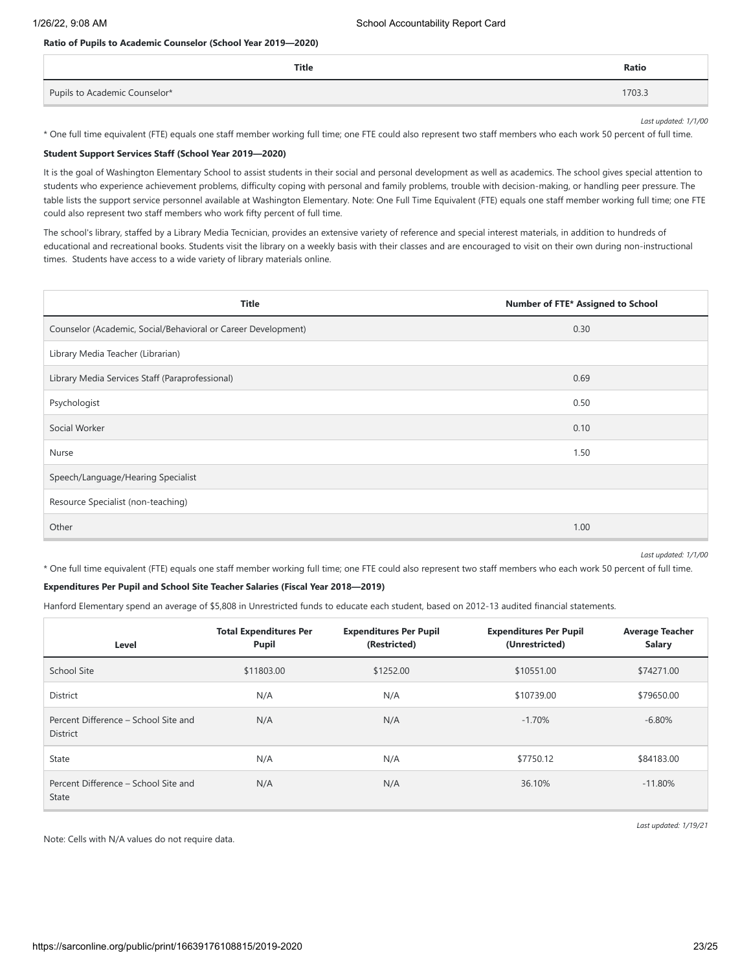### **Ratio of Pupils to Academic Counselor (School Year 2019—2020)**

| Title                         | Ratio  |
|-------------------------------|--------|
| Pupils to Academic Counselor* | 1703.3 |

*Last updated: 1/1/00*

\* One full time equivalent (FTE) equals one staff member working full time; one FTE could also represent two staff members who each work 50 percent of full time.

#### **Student Support Services Staff (School Year 2019—2020)**

It is the goal of Washington Elementary School to assist students in their social and personal development as well as academics. The school gives special attention to students who experience achievement problems, difficulty coping with personal and family problems, trouble with decision-making, or handling peer pressure. The table lists the support service personnel available at Washington Elementary. Note: One Full Time Equivalent (FTE) equals one staff member working full time; one FTE could also represent two staff members who work fifty percent of full time.

The school's library, staffed by a Library Media Tecnician, provides an extensive variety of reference and special interest materials, in addition to hundreds of educational and recreational books. Students visit the library on a weekly basis with their classes and are encouraged to visit on their own during non-instructional times. Students have access to a wide variety of library materials online.

| <b>Title</b>                                                  | Number of FTE* Assigned to School |
|---------------------------------------------------------------|-----------------------------------|
| Counselor (Academic, Social/Behavioral or Career Development) | 0.30                              |
| Library Media Teacher (Librarian)                             |                                   |
| Library Media Services Staff (Paraprofessional)               | 0.69                              |
| Psychologist                                                  | 0.50                              |
| Social Worker                                                 | 0.10                              |
| Nurse                                                         | 1.50                              |
| Speech/Language/Hearing Specialist                            |                                   |
| Resource Specialist (non-teaching)                            |                                   |
| Other                                                         | 1.00                              |

*Last updated: 1/1/00*

\* One full time equivalent (FTE) equals one staff member working full time; one FTE could also represent two staff members who each work 50 percent of full time.

### **Expenditures Per Pupil and School Site Teacher Salaries (Fiscal Year 2018—2019)**

Hanford Elementary spend an average of \$5,808 in Unrestricted funds to educate each student, based on 2012-13 audited financial statements.

| Level                                                   | <b>Total Expenditures Per</b><br><b>Pupil</b> | <b>Expenditures Per Pupil</b><br>(Restricted) | <b>Expenditures Per Pupil</b><br>(Unrestricted) | <b>Average Teacher</b><br><b>Salary</b> |
|---------------------------------------------------------|-----------------------------------------------|-----------------------------------------------|-------------------------------------------------|-----------------------------------------|
| School Site                                             | \$11803.00                                    | \$1252.00                                     | \$10551.00                                      | \$74271.00                              |
| <b>District</b>                                         | N/A                                           | N/A                                           | \$10739.00                                      | \$79650.00                              |
| Percent Difference - School Site and<br><b>District</b> | N/A                                           | N/A                                           | $-1.70%$                                        | $-6.80\%$                               |
| State                                                   | N/A                                           | N/A                                           | \$7750.12                                       | \$84183.00                              |
| Percent Difference - School Site and<br><b>State</b>    | N/A                                           | N/A                                           | 36.10%                                          | $-11.80%$                               |

Note: Cells with N/A values do not require data.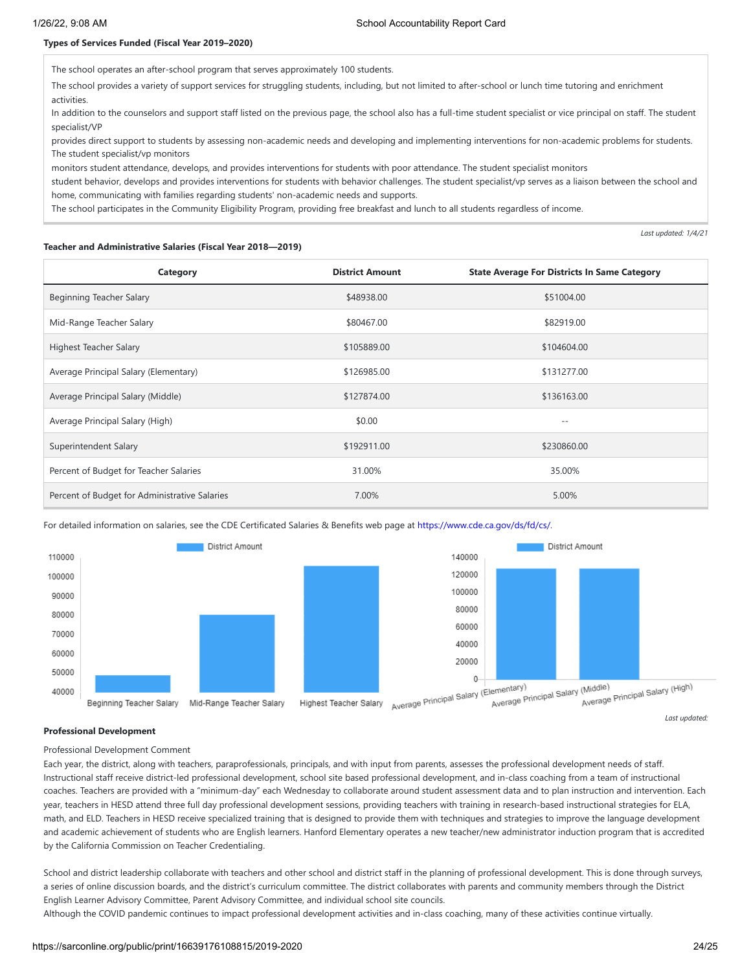#### **Types of Services Funded (Fiscal Year 2019–2020)**

The school operates an after-school program that serves approximately 100 students.

The school provides a variety of support services for struggling students, including, but not limited to after-school or lunch time tutoring and enrichment activities.

In addition to the counselors and support staff listed on the previous page, the school also has a full-time student specialist or vice principal on staff. The student specialist/VP

provides direct support to students by assessing non-academic needs and developing and implementing interventions for non-academic problems for students. The student specialist/vp monitors

monitors student attendance, develops, and provides interventions for students with poor attendance. The student specialist monitors

student behavior, develops and provides interventions for students with behavior challenges. The student specialist/vp serves as a liaison between the school and home, communicating with families regarding students' non-academic needs and supports.

The school participates in the Community Eligibility Program, providing free breakfast and lunch to all students regardless of income.

*Last updated: 1/4/21*

#### **Teacher and Administrative Salaries (Fiscal Year 2018—2019)**

| Category                                      | <b>District Amount</b> | <b>State Average For Districts In Same Category</b> |
|-----------------------------------------------|------------------------|-----------------------------------------------------|
| Beginning Teacher Salary                      | \$48938.00             | \$51004.00                                          |
| Mid-Range Teacher Salary                      | \$80467.00             | \$82919.00                                          |
| <b>Highest Teacher Salary</b>                 | \$105889.00            | \$104604.00                                         |
| Average Principal Salary (Elementary)         | \$126985.00            | \$131277.00                                         |
| Average Principal Salary (Middle)             | \$127874.00            | \$136163.00                                         |
| Average Principal Salary (High)               | \$0.00                 | $ -$                                                |
| Superintendent Salary                         | \$192911.00            | \$230860.00                                         |
| Percent of Budget for Teacher Salaries        | 31.00%                 | 35.00%                                              |
| Percent of Budget for Administrative Salaries | 7.00%                  | 5.00%                                               |

For detailed information on salaries, see the CDE Certificated Salaries & Benefits web page at [https://www.cde.ca.gov/ds/fd/cs/.](https://www.cde.ca.gov/ds/fd/cs/)



#### **Professional Development**

Professional Development Comment

Each year, the district, along with teachers, paraprofessionals, principals, and with input from parents, assesses the professional development needs of staff. Instructional staff receive district-led professional development, school site based professional development, and in-class coaching from a team of instructional coaches. Teachers are provided with a "minimum-day" each Wednesday to collaborate around student assessment data and to plan instruction and intervention. Each year, teachers in HESD attend three full day professional development sessions, providing teachers with training in research-based instructional strategies for ELA, math, and ELD. Teachers in HESD receive specialized training that is designed to provide them with techniques and strategies to improve the language development and academic achievement of students who are English learners. Hanford Elementary operates a new teacher/new administrator induction program that is accredited by the California Commission on Teacher Credentialing.

School and district leadership collaborate with teachers and other school and district staff in the planning of professional development. This is done through surveys, a series of online discussion boards, and the district's curriculum committee. The district collaborates with parents and community members through the District English Learner Advisory Committee, Parent Advisory Committee, and individual school site councils.

Although the COVID pandemic continues to impact professional development activities and in-class coaching, many of these activities continue virtually.